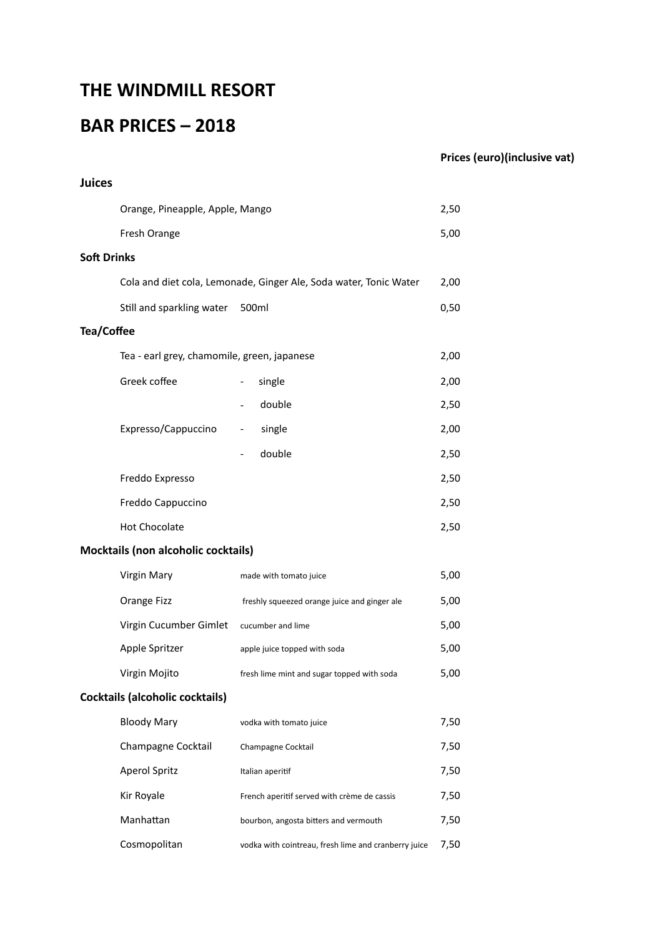## **THE WINDMILL RESORT**

# **BAR PRICES – 2018**

### **Prices (euro)(inclusive vat)**

| <b>Juices</b>                          |                                                     |                                                                   |      |  |
|----------------------------------------|-----------------------------------------------------|-------------------------------------------------------------------|------|--|
|                                        | Orange, Pineapple, Apple, Mango                     |                                                                   |      |  |
|                                        | Fresh Orange                                        |                                                                   | 5,00 |  |
| <b>Soft Drinks</b>                     |                                                     |                                                                   |      |  |
|                                        |                                                     | Cola and diet cola, Lemonade, Ginger Ale, Soda water, Tonic Water | 2,00 |  |
|                                        | Still and sparkling water 500ml                     |                                                                   | 0,50 |  |
| <b>Tea/Coffee</b>                      |                                                     |                                                                   |      |  |
|                                        | Tea - earl grey, chamomile, green, japanese<br>2,00 |                                                                   |      |  |
|                                        | Greek coffee                                        | single<br>$\overline{\phantom{a}}$                                | 2,00 |  |
|                                        |                                                     | double                                                            | 2,50 |  |
|                                        | Expresso/Cappuccino                                 | single<br>$\overline{\phantom{a}}$                                | 2,00 |  |
|                                        |                                                     | double                                                            | 2,50 |  |
|                                        | Freddo Expresso                                     |                                                                   | 2,50 |  |
|                                        | Freddo Cappuccino                                   |                                                                   | 2,50 |  |
|                                        | <b>Hot Chocolate</b>                                |                                                                   | 2,50 |  |
|                                        | <b>Mocktails (non alcoholic cocktails)</b>          |                                                                   |      |  |
|                                        | Virgin Mary                                         | made with tomato juice                                            | 5,00 |  |
|                                        | Orange Fizz                                         | freshly squeezed orange juice and ginger ale                      | 5,00 |  |
|                                        | Virgin Cucumber Gimlet                              | cucumber and lime                                                 | 5,00 |  |
|                                        | Apple Spritzer                                      | apple juice topped with soda                                      | 5,00 |  |
|                                        | Virgin Mojito                                       | fresh lime mint and sugar topped with soda                        | 5,00 |  |
| <b>Cocktails (alcoholic cocktails)</b> |                                                     |                                                                   |      |  |
|                                        | <b>Bloody Mary</b>                                  | vodka with tomato juice                                           | 7,50 |  |
|                                        | Champagne Cocktail                                  | Champagne Cocktail                                                | 7,50 |  |
|                                        | <b>Aperol Spritz</b>                                | Italian aperitif                                                  | 7,50 |  |
|                                        | Kir Royale                                          | French aperitif served with crème de cassis                       | 7,50 |  |
|                                        | Manhattan                                           | bourbon, angosta bitters and vermouth                             | 7,50 |  |
|                                        | Cosmopolitan                                        | vodka with cointreau, fresh lime and cranberry juice              | 7,50 |  |